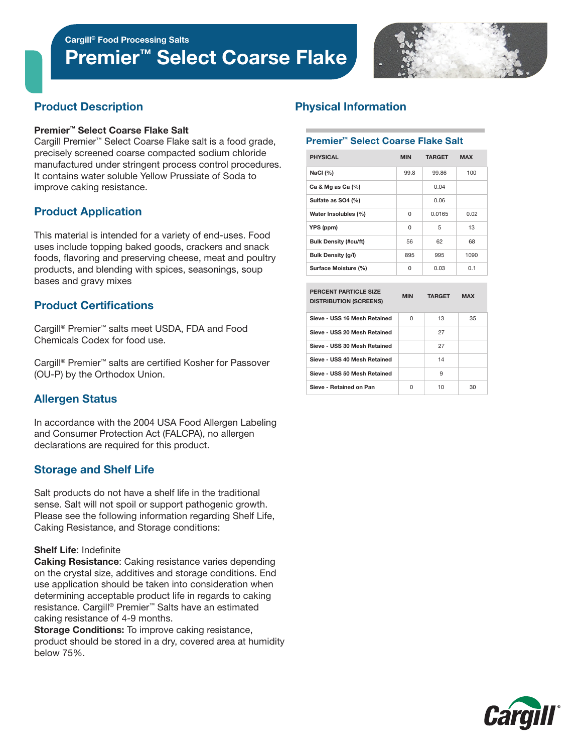

# Product Description

#### Premier™ Select Coarse Flake Salt

Cargill Premier™ Select Coarse Flake salt is a food grade, precisely screened coarse compacted sodium chloride manufactured under stringent process control procedures. It contains water soluble Yellow Prussiate of Soda to improve caking resistance.

# Product Application

This material is intended for a variety of end-uses. Food uses include topping baked goods, crackers and snack foods, flavoring and preserving cheese, meat and poultry products, and blending with spices, seasonings, soup bases and gravy mixes

# Product Certifications

Cargill® Premier™ salts meet USDA, FDA and Food Chemicals Codex for food use.

Cargill® Premier™ salts are certified Kosher for Passover (OU-P) by the Orthodox Union.

# Allergen Status

In accordance with the 2004 USA Food Allergen Labeling and Consumer Protection Act (FALCPA), no allergen declarations are required for this product.

# Storage and Shelf Life

Salt products do not have a shelf life in the traditional sense. Salt will not spoil or support pathogenic growth. Please see the following information regarding Shelf Life, Caking Resistance, and Storage conditions:

### Shelf Life: Indefinite

Caking Resistance: Caking resistance varies depending on the crystal size, additives and storage conditions. End use application should be taken into consideration when determining acceptable product life in regards to caking resistance. Cargill® Premier™ Salts have an estimated caking resistance of 4-9 months.

**Storage Conditions:** To improve caking resistance, product should be stored in a dry, covered area at humidity below 75%.

# Physical Information

#### Premier™ Select Coarse Flake Salt

| <b>PHYSICAL</b>              | <b>MIN</b> | <b>TARGET</b> | <b>MAX</b> |
|------------------------------|------------|---------------|------------|
| NaCl $(%)$                   | 99.8       | 99.86         | 100        |
| Ca & Mg as Ca $(%)$          |            | 0.04          |            |
| Sulfate as SO4 (%)           |            | 0.06          |            |
| Water Insolubles (%)         | 0          | 0.0165        | 0.02       |
| YPS (ppm)                    | 0          | 5             | 13         |
| <b>Bulk Density (#cu/ft)</b> | 56         | 62            | 68         |
| <b>Bulk Density (g/l)</b>    | 895        | 995           | 1090       |
| Surface Moisture (%)         | 0          | 0.03          | 0.1        |

| PERCENT PARTICLE SIZE<br><b>DISTRIBUTION (SCREENS)</b> | <b>MIN</b> | <b>TARGET</b> | <b>MAX</b> |
|--------------------------------------------------------|------------|---------------|------------|
| Sieve - USS 16 Mesh Retained                           | U          | 13            | 35         |
| Sieve - USS 20 Mesh Retained                           |            | 27            |            |
| Sieve - USS 30 Mesh Retained                           |            | 27            |            |
| Sieve - USS 40 Mesh Retained                           |            | 14            |            |
| Sieve - USS 50 Mesh Retained                           |            | 9             |            |
| Sieve - Retained on Pan                                | U          | 10            | 30         |